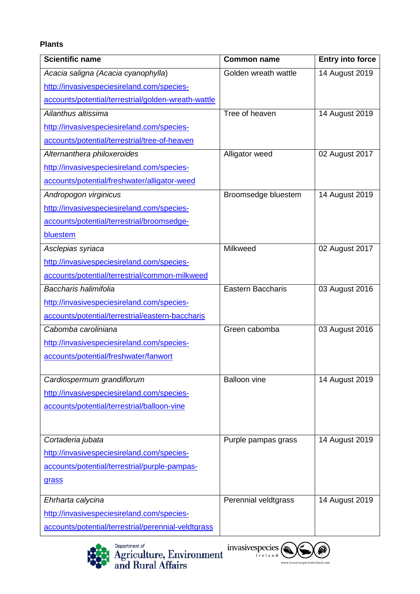## **Plants**

| Scientific name                                     | <b>Common name</b>       | <b>Entry into force</b> |
|-----------------------------------------------------|--------------------------|-------------------------|
| Acacia saligna (Acacia cyanophylla)                 | Golden wreath wattle     | 14 August 2019          |
| http://invasivespeciesireland.com/species-          |                          |                         |
| accounts/potential/terrestrial/golden-wreath-wattle |                          |                         |
| Ailanthus altissima                                 | Tree of heaven           | 14 August 2019          |
| http://invasivespeciesireland.com/species-          |                          |                         |
| accounts/potential/terrestrial/tree-of-heaven       |                          |                         |
| Alternanthera philoxeroides                         | Alligator weed           | 02 August 2017          |
| http://invasivespeciesireland.com/species-          |                          |                         |
| accounts/potential/freshwater/alligator-weed        |                          |                         |
| Andropogon virginicus                               | Broomsedge bluestem      | 14 August 2019          |
| http://invasivespeciesireland.com/species-          |                          |                         |
| accounts/potential/terrestrial/broomsedge-          |                          |                         |
| bluestem                                            |                          |                         |
| Asclepias syriaca                                   | Milkweed                 | 02 August 2017          |
| http://invasivespeciesireland.com/species-          |                          |                         |
| accounts/potential/terrestrial/common-milkweed      |                          |                         |
| Baccharis halimifolia                               | <b>Eastern Baccharis</b> | 03 August 2016          |
| http://invasivespeciesireland.com/species-          |                          |                         |
| accounts/potential/terrestrial/eastern-baccharis    |                          |                         |
| Cabomba caroliniana                                 | Green cabomba            | 03 August 2016          |
| http://invasivespeciesireland.com/species-          |                          |                         |
| accounts/potential/freshwater/fanwort               |                          |                         |
|                                                     |                          |                         |
| Cardiospermum grandiflorum                          | <b>Balloon vine</b>      | 14 August 2019          |
| http://invasivespeciesireland.com/species-          |                          |                         |
| accounts/potential/terrestrial/balloon-vine         |                          |                         |
|                                                     |                          |                         |
| Cortaderia jubata                                   | Purple pampas grass      | 14 August 2019          |
| http://invasivespeciesireland.com/species-          |                          |                         |
| accounts/potential/terrestrial/purple-pampas-       |                          |                         |
| grass                                               |                          |                         |
|                                                     |                          |                         |
| Ehrharta calycina                                   | Perennial veldtgrass     | 14 August 2019          |
| http://invasivespeciesireland.com/species-          |                          |                         |
| accounts/potential/terrestrial/perennial-veldtgrass |                          |                         |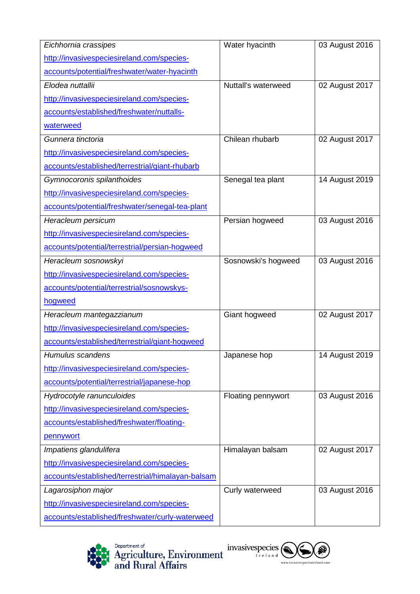| Eichhornia crassipes                              | Water hyacinth      | 03 August 2016 |
|---------------------------------------------------|---------------------|----------------|
| http://invasivespeciesireland.com/species-        |                     |                |
| accounts/potential/freshwater/water-hyacinth      |                     |                |
| Elodea nuttallii                                  | Nuttall's waterweed | 02 August 2017 |
| http://invasivespeciesireland.com/species-        |                     |                |
| accounts/established/freshwater/nuttalls-         |                     |                |
| waterweed                                         |                     |                |
| Gunnera tinctoria                                 | Chilean rhubarb     | 02 August 2017 |
| http://invasivespeciesireland.com/species-        |                     |                |
| accounts/established/terrestrial/giant-rhubarb    |                     |                |
| Gymnocoronis spilanthoides                        | Senegal tea plant   | 14 August 2019 |
| http://invasivespeciesireland.com/species-        |                     |                |
| accounts/potential/freshwater/senegal-tea-plant   |                     |                |
| Heracleum persicum                                | Persian hogweed     | 03 August 2016 |
| http://invasivespeciesireland.com/species-        |                     |                |
| accounts/potential/terrestrial/persian-hogweed    |                     |                |
| Heracleum sosnowskyi                              | Sosnowski's hogweed | 03 August 2016 |
| http://invasivespeciesireland.com/species-        |                     |                |
| accounts/potential/terrestrial/sosnowskys-        |                     |                |
| hogweed                                           |                     |                |
| Heracleum mantegazzianum                          | Giant hogweed       | 02 August 2017 |
| http://invasivespeciesireland.com/species-        |                     |                |
| accounts/established/terrestrial/giant-hogweed    |                     |                |
| Humulus scandens                                  | Japanese hop        | 14 August 2019 |
| http://invasivespeciesireland.com/species-        |                     |                |
| accounts/potential/terrestrial/japanese-hop       |                     |                |
| Hydrocotyle ranunculoides                         | Floating pennywort  | 03 August 2016 |
| http://invasivespeciesireland.com/species-        |                     |                |
| accounts/established/freshwater/floating-         |                     |                |
| pennywort                                         |                     |                |
| Impatiens glandulifera                            | Himalayan balsam    | 02 August 2017 |
| http://invasivespeciesireland.com/species-        |                     |                |
| accounts/established/terrestrial/himalayan-balsam |                     |                |
| Lagarosiphon major                                | Curly waterweed     | 03 August 2016 |
| http://invasivespeciesireland.com/species-        |                     |                |
| accounts/established/freshwater/curly-waterweed   |                     |                |





An Agency within the Department of<br>**Agriculture, Environment**<br>and Rural Affairs

www.daera-ni.gov.uk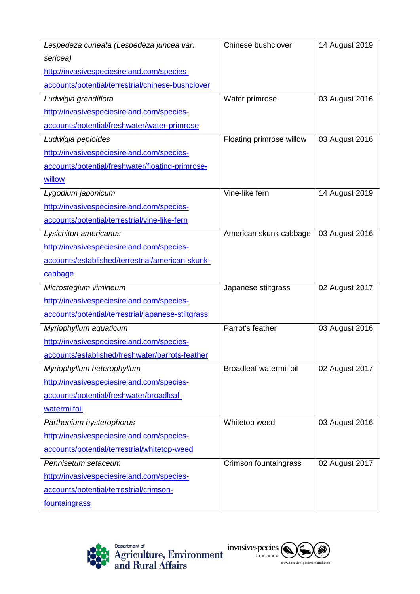| Lespedeza cuneata (Lespedeza juncea var.           | Chinese bushclover            | 14 August 2019 |
|----------------------------------------------------|-------------------------------|----------------|
| sericea)                                           |                               |                |
| http://invasivespeciesireland.com/species-         |                               |                |
| accounts/potential/terrestrial/chinese-bushclover  |                               |                |
| Ludwigia grandiflora                               | Water primrose                | 03 August 2016 |
| http://invasivespeciesireland.com/species-         |                               |                |
| accounts/potential/freshwater/water-primrose       |                               |                |
| Ludwigia peploides                                 | Floating primrose willow      | 03 August 2016 |
| http://invasivespeciesireland.com/species-         |                               |                |
| accounts/potential/freshwater/floating-primrose-   |                               |                |
| willow                                             |                               |                |
| Lygodium japonicum                                 | Vine-like fern                | 14 August 2019 |
| http://invasivespeciesireland.com/species-         |                               |                |
| accounts/potential/terrestrial/vine-like-fern      |                               |                |
| Lysichiton americanus                              | American skunk cabbage        | 03 August 2016 |
| http://invasivespeciesireland.com/species-         |                               |                |
| accounts/established/terrestrial/american-skunk-   |                               |                |
| cabbage                                            |                               |                |
| Microstegium vimineum                              | Japanese stiltgrass           | 02 August 2017 |
| http://invasivespeciesireland.com/species-         |                               |                |
| accounts/potential/terrestrial/japanese-stiltgrass |                               |                |
| Myriophyllum aquaticum                             | Parrot's feather              | 03 August 2016 |
| http://invasivespeciesireland.com/species-         |                               |                |
| accounts/established/freshwater/parrots-feather    |                               |                |
| Myriophyllum heterophyllum                         | <b>Broadleaf watermilfoil</b> | 02 August 2017 |
| http://invasivespeciesireland.com/species-         |                               |                |
| accounts/potential/freshwater/broadleaf-           |                               |                |
| watermilfoil                                       |                               |                |
| Parthenium hysterophorus                           | Whitetop weed                 | 03 August 2016 |
| http://invasivespeciesireland.com/species-         |                               |                |
| accounts/potential/terrestrial/whitetop-weed       |                               |                |
| Pennisetum setaceum                                | Crimson fountaingrass         | 02 August 2017 |
| http://invasivespeciesireland.com/species-         |                               |                |
| accounts/potential/terrestrial/crimson-            |                               |                |
| fountaingrass                                      |                               |                |





An Agency within the Department of<br>**Agriculture, Environment**<br>and Rural Affairs www.daera-ni.gov.uk